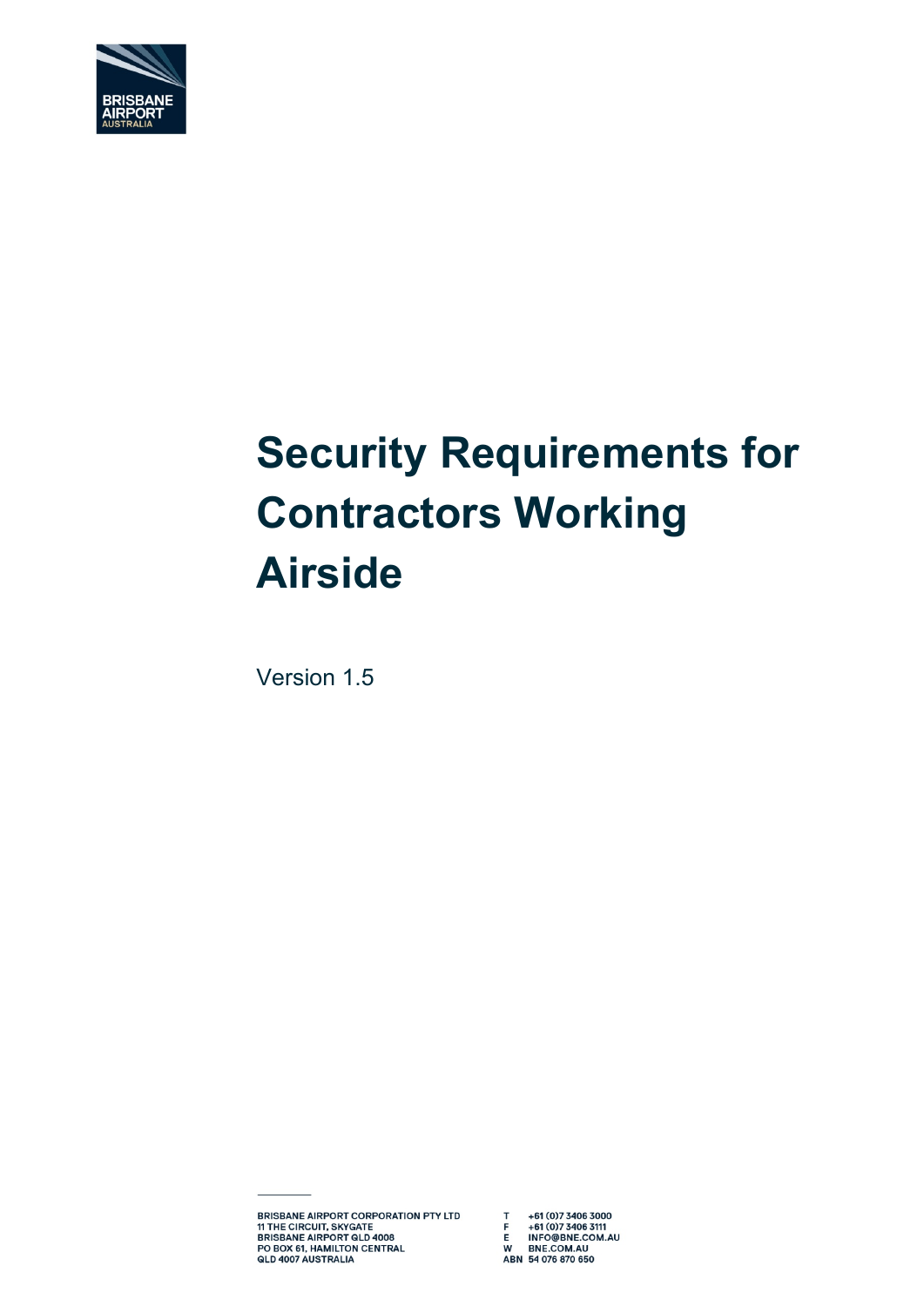

# **Security Requirements for Contractors Working Airside**

Version 1.5

BRISBANE AIRPORT CORPORATION PTY LTD T +61 (0)7 3406 3000 SENSISME AIRPORT CURTURATION PTETIP<br>
THE CIRCUIT, SKYGATE<br>
BRISBANE AIRPORT GLD 4008<br>
PO BOX 61, HAMILTON CENTRAL<br>
QLD 4007 AUSTRALIA<br>
QLD 4007 AUSTRALIA<br>
ABN 54 076 870 650

Document Title: SECURITY REQUIREMENTS FOR CONTRACTORS WORKING AIRSIDE

W BNE.COM.AU<br>ABN 54 076 870 650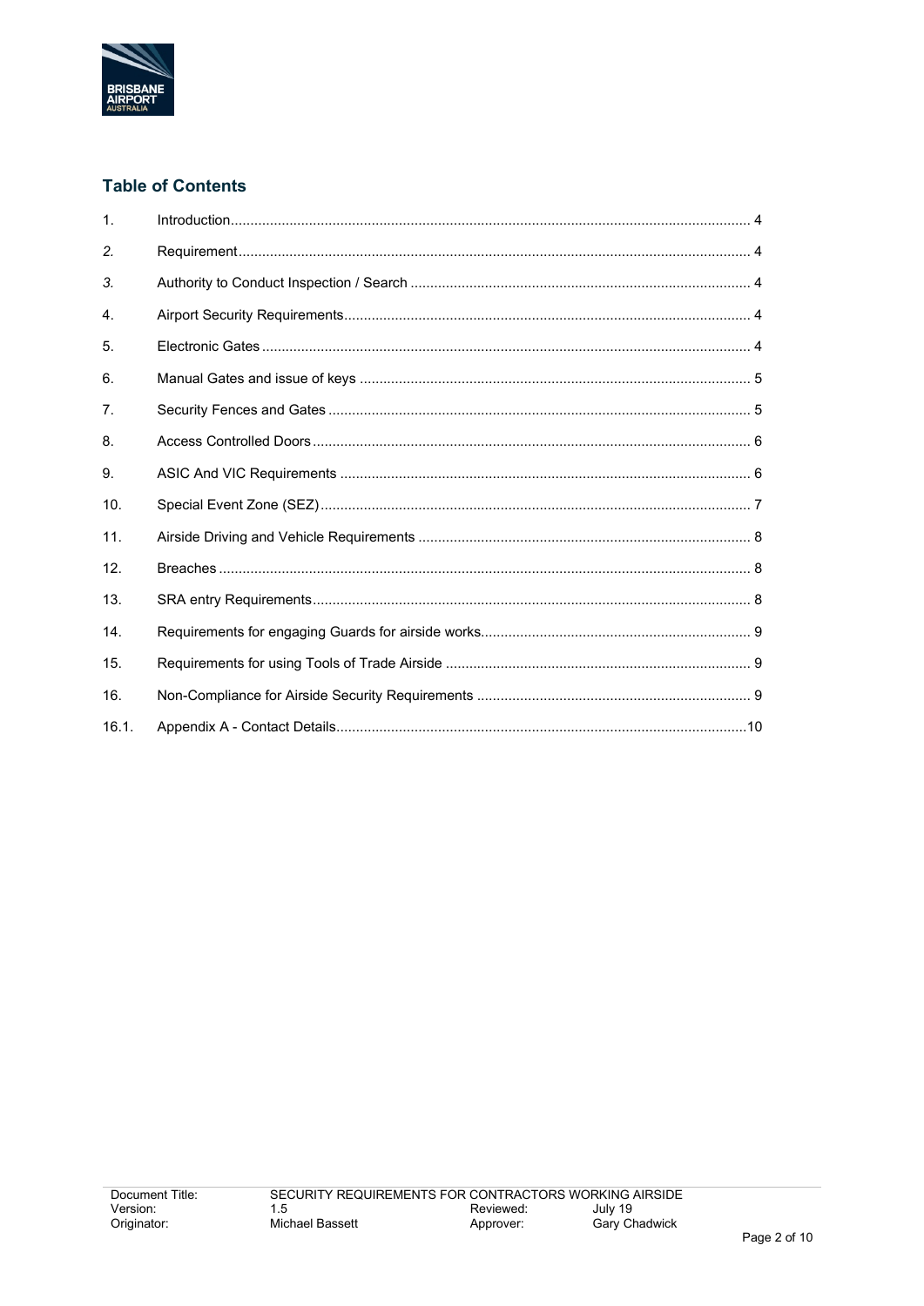

# **Table of Contents**

| $\mathbf{1}$ . |  |
|----------------|--|
| 2.             |  |
| 3.             |  |
| 4.             |  |
| 5.             |  |
| 6.             |  |
| 7.             |  |
| 8.             |  |
| 9.             |  |
| 10.            |  |
| 11.            |  |
| 12.            |  |
| 13.            |  |
| 14.            |  |
| 15.            |  |
| 16.            |  |
| 16.1.          |  |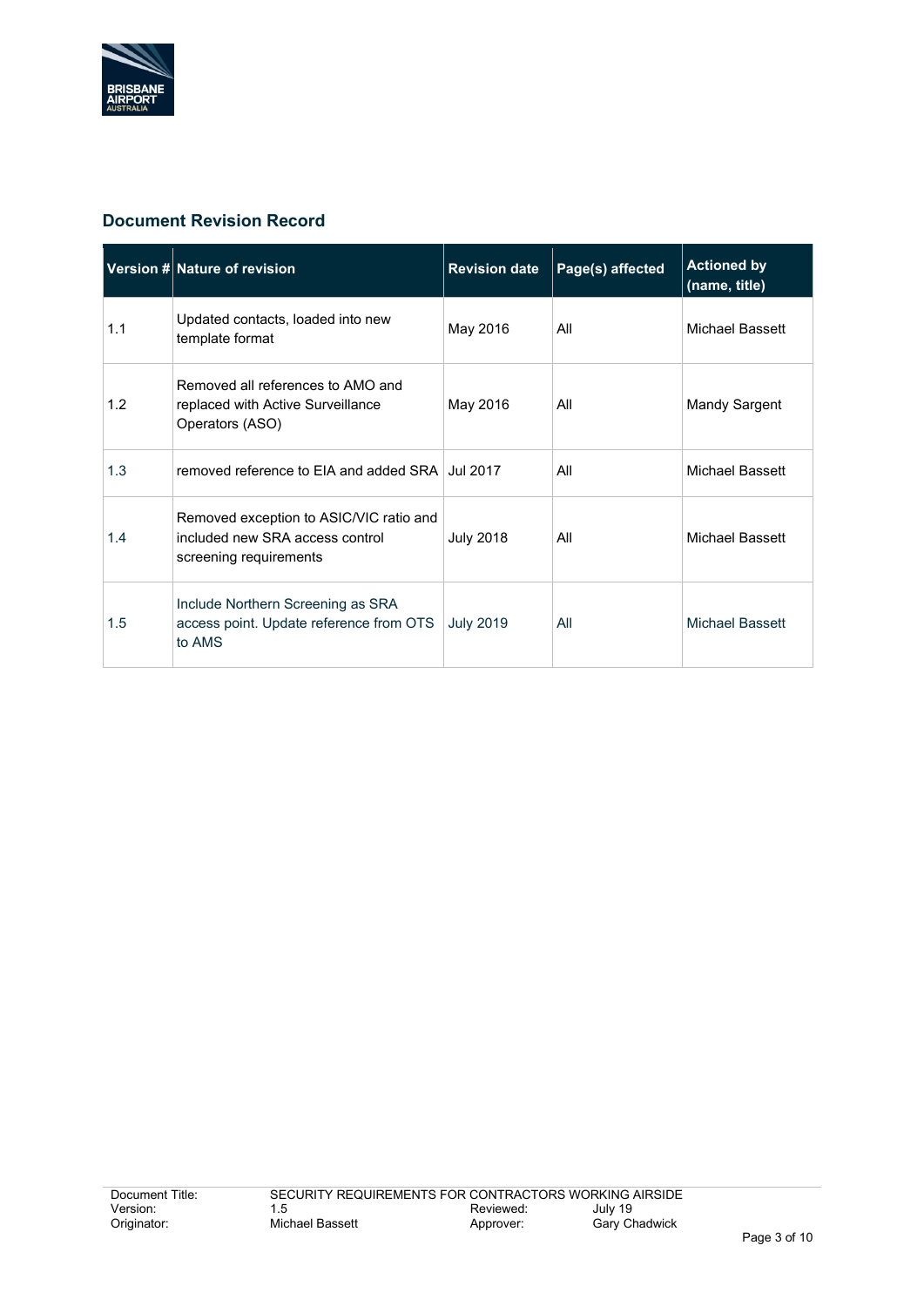

## **Document Revision Record**

|     | Version # Nature of revision                                                                         | <b>Revision date</b> | Page(s) affected | <b>Actioned by</b><br>(name, title) |
|-----|------------------------------------------------------------------------------------------------------|----------------------|------------------|-------------------------------------|
| 1.1 | Updated contacts, loaded into new<br>template format                                                 | May 2016             | All              | Michael Bassett                     |
| 1.2 | Removed all references to AMO and<br>replaced with Active Surveillance<br>Operators (ASO)            | May 2016             | All              | Mandy Sargent                       |
| 1.3 | removed reference to EIA and added SRA Jul 2017                                                      |                      | All              | Michael Bassett                     |
| 1.4 | Removed exception to ASIC/VIC ratio and<br>included new SRA access control<br>screening requirements | <b>July 2018</b>     | All              | Michael Bassett                     |
| 1.5 | Include Northern Screening as SRA<br>access point. Update reference from OTS<br>to AMS               | <b>July 2019</b>     | All              | Michael Bassett                     |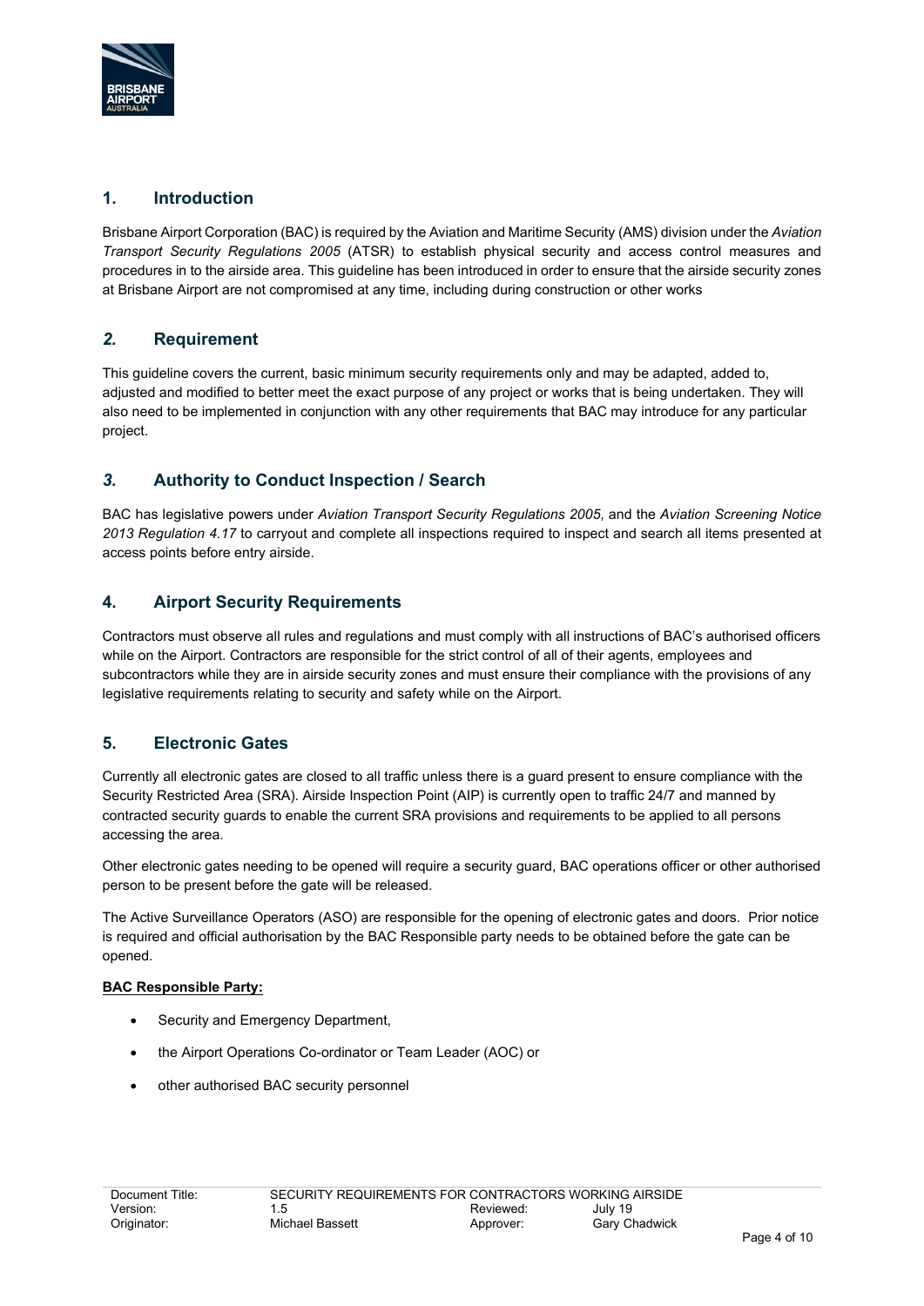

#### **1. Introduction**

Brisbane Airport Corporation (BAC) is required by the Aviation and Maritime Security (AMS) division under the *Aviation Transport Security Regulations 2005* (ATSR) to establish physical security and access control measures and procedures in to the airside area. This guideline has been introduced in order to ensure that the airside security zones at Brisbane Airport are not compromised at any time, including during construction or other works

#### *2.* **Requirement**

This guideline covers the current, basic minimum security requirements only and may be adapted, added to, adjusted and modified to better meet the exact purpose of any project or works that is being undertaken. They will also need to be implemented in conjunction with any other requirements that BAC may introduce for any particular project.

## *3.* **Authority to Conduct Inspection / Search**

BAC has legislative powers under *Aviation Transport Security Regulations 2005*, and the *Aviation Screening Notice 2013 Regulation 4.17* to carryout and complete all inspections required to inspect and search all items presented at access points before entry airside.

#### **4. Airport Security Requirements**

Contractors must observe all rules and regulations and must comply with all instructions of BAC's authorised officers while on the Airport. Contractors are responsible for the strict control of all of their agents, employees and subcontractors while they are in airside security zones and must ensure their compliance with the provisions of any legislative requirements relating to security and safety while on the Airport.

#### **5. Electronic Gates**

Currently all electronic gates are closed to all traffic unless there is a guard present to ensure compliance with the Security Restricted Area (SRA). Airside Inspection Point (AIP) is currently open to traffic 24/7 and manned by contracted security guards to enable the current SRA provisions and requirements to be applied to all persons accessing the area.

Other electronic gates needing to be opened will require a security guard, BAC operations officer or other authorised person to be present before the gate will be released.

The Active Surveillance Operators (ASO) are responsible for the opening of electronic gates and doors. Prior notice is required and official authorisation by the BAC Responsible party needs to be obtained before the gate can be opened.

#### **BAC Responsible Party:**

- Security and Emergency Department.
- the Airport Operations Co-ordinator or Team Leader (AOC) or
- other authorised BAC security personnel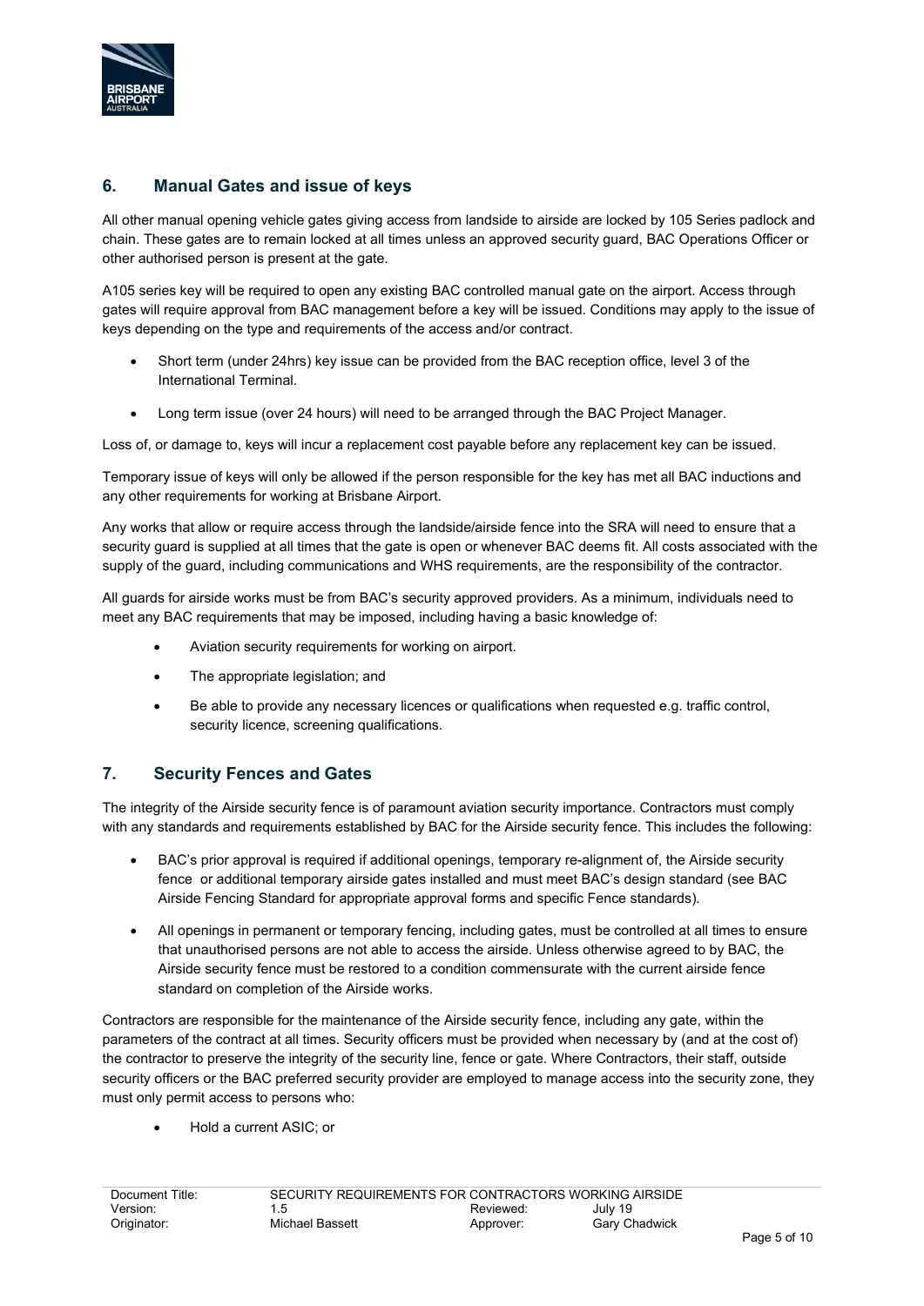

#### **6. Manual Gates and issue of keys**

All other manual opening vehicle gates giving access from landside to airside are locked by 105 Series padlock and chain. These gates are to remain locked at all times unless an approved security guard, BAC Operations Officer or other authorised person is present at the gate.

A105 series key will be required to open any existing BAC controlled manual gate on the airport. Access through gates will require approval from BAC management before a key will be issued. Conditions may apply to the issue of keys depending on the type and requirements of the access and/or contract.

- Short term (under 24hrs) key issue can be provided from the BAC reception office, level 3 of the International Terminal.
- Long term issue (over 24 hours) will need to be arranged through the BAC Project Manager.

Loss of, or damage to, keys will incur a replacement cost payable before any replacement key can be issued.

Temporary issue of keys will only be allowed if the person responsible for the key has met all BAC inductions and any other requirements for working at Brisbane Airport.

Any works that allow or require access through the landside/airside fence into the SRA will need to ensure that a security guard is supplied at all times that the gate is open or whenever BAC deems fit. All costs associated with the supply of the guard, including communications and WHS requirements, are the responsibility of the contractor.

All guards for airside works must be from BAC's security approved providers. As a minimum, individuals need to meet any BAC requirements that may be imposed, including having a basic knowledge of:

- Aviation security requirements for working on airport.
- The appropriate legislation; and
- Be able to provide any necessary licences or qualifications when requested e.g. traffic control, security licence, screening qualifications.

## **7. Security Fences and Gates**

The integrity of the Airside security fence is of paramount aviation security importance. Contractors must comply with any standards and requirements established by BAC for the Airside security fence. This includes the following:

- BAC's prior approval is required if additional openings, temporary re-alignment of, the Airside security fence or additional temporary airside gates installed and must meet BAC's design standard (see BAC Airside Fencing Standard for appropriate approval forms and specific Fence standards).
- All openings in permanent or temporary fencing, including gates, must be controlled at all times to ensure that unauthorised persons are not able to access the airside. Unless otherwise agreed to by BAC, the Airside security fence must be restored to a condition commensurate with the current airside fence standard on completion of the Airside works.

Contractors are responsible for the maintenance of the Airside security fence, including any gate, within the parameters of the contract at all times. Security officers must be provided when necessary by (and at the cost of) the contractor to preserve the integrity of the security line, fence or gate. Where Contractors, their staff, outside security officers or the BAC preferred security provider are employed to manage access into the security zone, they must only permit access to persons who:

• Hold a current ASIC; or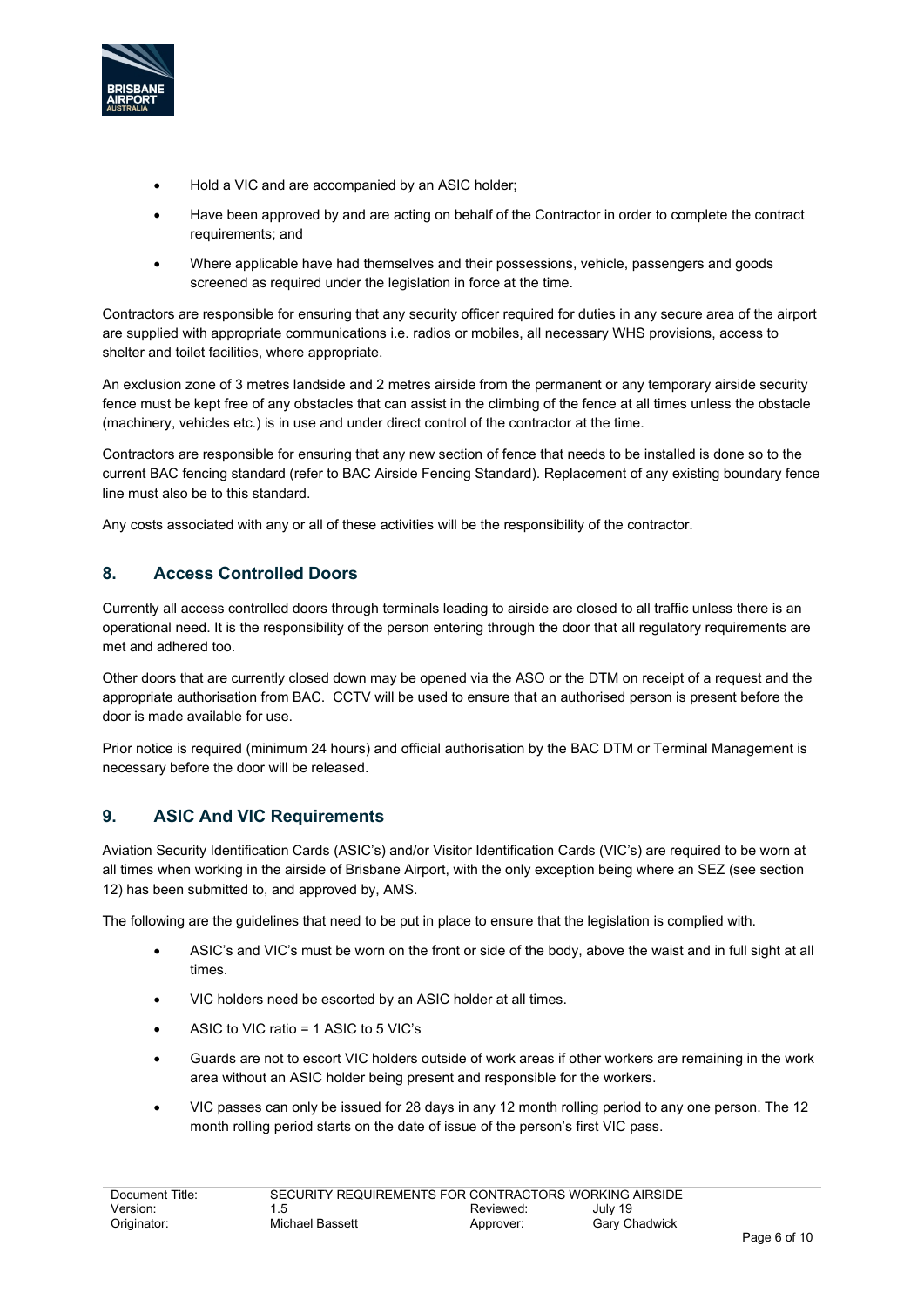

- Hold a VIC and are accompanied by an ASIC holder;
- Have been approved by and are acting on behalf of the Contractor in order to complete the contract requirements; and
- Where applicable have had themselves and their possessions, vehicle, passengers and goods screened as required under the legislation in force at the time.

Contractors are responsible for ensuring that any security officer required for duties in any secure area of the airport are supplied with appropriate communications i.e. radios or mobiles, all necessary WHS provisions, access to shelter and toilet facilities, where appropriate.

An exclusion zone of 3 metres landside and 2 metres airside from the permanent or any temporary airside security fence must be kept free of any obstacles that can assist in the climbing of the fence at all times unless the obstacle (machinery, vehicles etc.) is in use and under direct control of the contractor at the time.

Contractors are responsible for ensuring that any new section of fence that needs to be installed is done so to the current BAC fencing standard (refer to BAC Airside Fencing Standard). Replacement of any existing boundary fence line must also be to this standard.

Any costs associated with any or all of these activities will be the responsibility of the contractor.

#### **8. Access Controlled Doors**

Currently all access controlled doors through terminals leading to airside are closed to all traffic unless there is an operational need. It is the responsibility of the person entering through the door that all regulatory requirements are met and adhered too.

Other doors that are currently closed down may be opened via the ASO or the DTM on receipt of a request and the appropriate authorisation from BAC. CCTV will be used to ensure that an authorised person is present before the door is made available for use.

Prior notice is required (minimum 24 hours) and official authorisation by the BAC DTM or Terminal Management is necessary before the door will be released.

#### **9. ASIC And VIC Requirements**

Aviation Security Identification Cards (ASIC's) and/or Visitor Identification Cards (VIC's) are required to be worn at all times when working in the airside of Brisbane Airport, with the only exception being where an SEZ (see section 12) has been submitted to, and approved by, AMS.

The following are the guidelines that need to be put in place to ensure that the legislation is complied with.

- ASIC's and VIC's must be worn on the front or side of the body, above the waist and in full sight at all times.
- VIC holders need be escorted by an ASIC holder at all times.
- ASIC to VIC ratio = 1 ASIC to 5 VIC's
- Guards are not to escort VIC holders outside of work areas if other workers are remaining in the work area without an ASIC holder being present and responsible for the workers.
- VIC passes can only be issued for 28 days in any 12 month rolling period to any one person. The 12 month rolling period starts on the date of issue of the person's first VIC pass.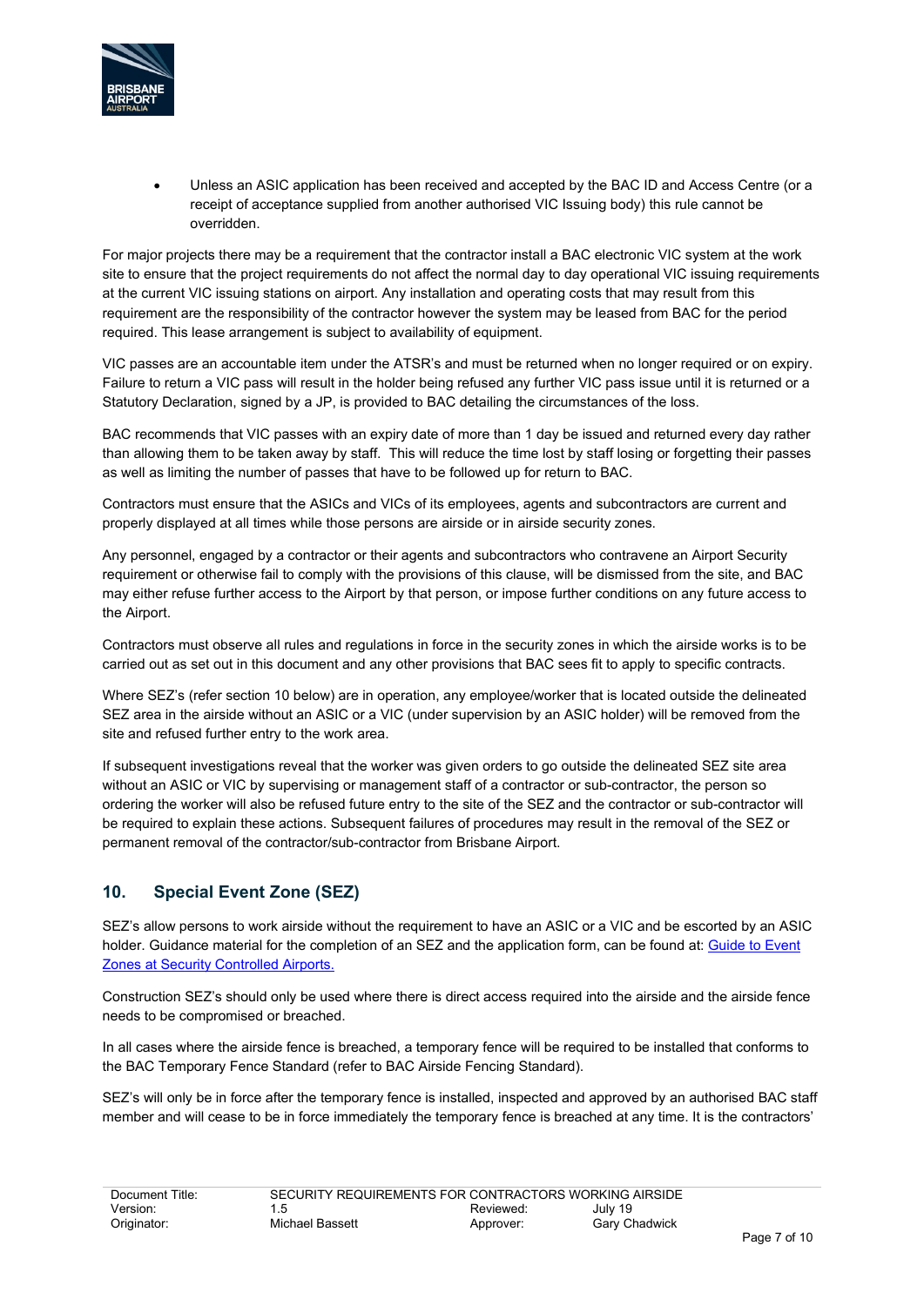

• Unless an ASIC application has been received and accepted by the BAC ID and Access Centre (or a receipt of acceptance supplied from another authorised VIC Issuing body) this rule cannot be overridden.

For major projects there may be a requirement that the contractor install a BAC electronic VIC system at the work site to ensure that the project requirements do not affect the normal day to day operational VIC issuing requirements at the current VIC issuing stations on airport. Any installation and operating costs that may result from this requirement are the responsibility of the contractor however the system may be leased from BAC for the period required. This lease arrangement is subject to availability of equipment.

VIC passes are an accountable item under the ATSR's and must be returned when no longer required or on expiry. Failure to return a VIC pass will result in the holder being refused any further VIC pass issue until it is returned or a Statutory Declaration, signed by a JP, is provided to BAC detailing the circumstances of the loss.

BAC recommends that VIC passes with an expiry date of more than 1 day be issued and returned every day rather than allowing them to be taken away by staff. This will reduce the time lost by staff losing or forgetting their passes as well as limiting the number of passes that have to be followed up for return to BAC.

Contractors must ensure that the ASICs and VICs of its employees, agents and subcontractors are current and properly displayed at all times while those persons are airside or in airside security zones.

Any personnel, engaged by a contractor or their agents and subcontractors who contravene an Airport Security requirement or otherwise fail to comply with the provisions of this clause, will be dismissed from the site, and BAC may either refuse further access to the Airport by that person, or impose further conditions on any future access to the Airport.

Contractors must observe all rules and regulations in force in the security zones in which the airside works is to be carried out as set out in this document and any other provisions that BAC sees fit to apply to specific contracts.

Where SEZ's (refer section 10 below) are in operation, any employee/worker that is located outside the delineated SEZ area in the airside without an ASIC or a VIC (under supervision by an ASIC holder) will be removed from the site and refused further entry to the work area.

If subsequent investigations reveal that the worker was given orders to go outside the delineated SEZ site area without an ASIC or VIC by supervising or management staff of a contractor or sub-contractor, the person so ordering the worker will also be refused future entry to the site of the SEZ and the contractor or sub-contractor will be required to explain these actions. Subsequent failures of procedures may result in the removal of the SEZ or permanent removal of the contractor/sub-contractor from Brisbane Airport.

## **10. Special Event Zone (SEZ)**

SEZ's allow persons to work airside without the requirement to have an ASIC or a VIC and be escorted by an ASIC holder. Guidance material for the completion of an SEZ and the application form, can be found at: Guide to Event [Zones at Security Controlled Airports.](file://bacl.net/data/groups/Operations/Security%20Strategy%20&%20Policy/SECURITY/Security%20Documentation/06%20BAC%20SOP/Guarding%20for%20Contractors%20and%20Projects/20130123_SECSOP024_Guide_to_Event_Zones_at_Security_Controlled_Airports.doc)

Construction SEZ's should only be used where there is direct access required into the airside and the airside fence needs to be compromised or breached.

In all cases where the airside fence is breached, a temporary fence will be required to be installed that conforms to the BAC Temporary Fence Standard (refer to BAC Airside Fencing Standard).

SEZ's will only be in force after the temporary fence is installed, inspected and approved by an authorised BAC staff member and will cease to be in force immediately the temporary fence is breached at any time. It is the contractors'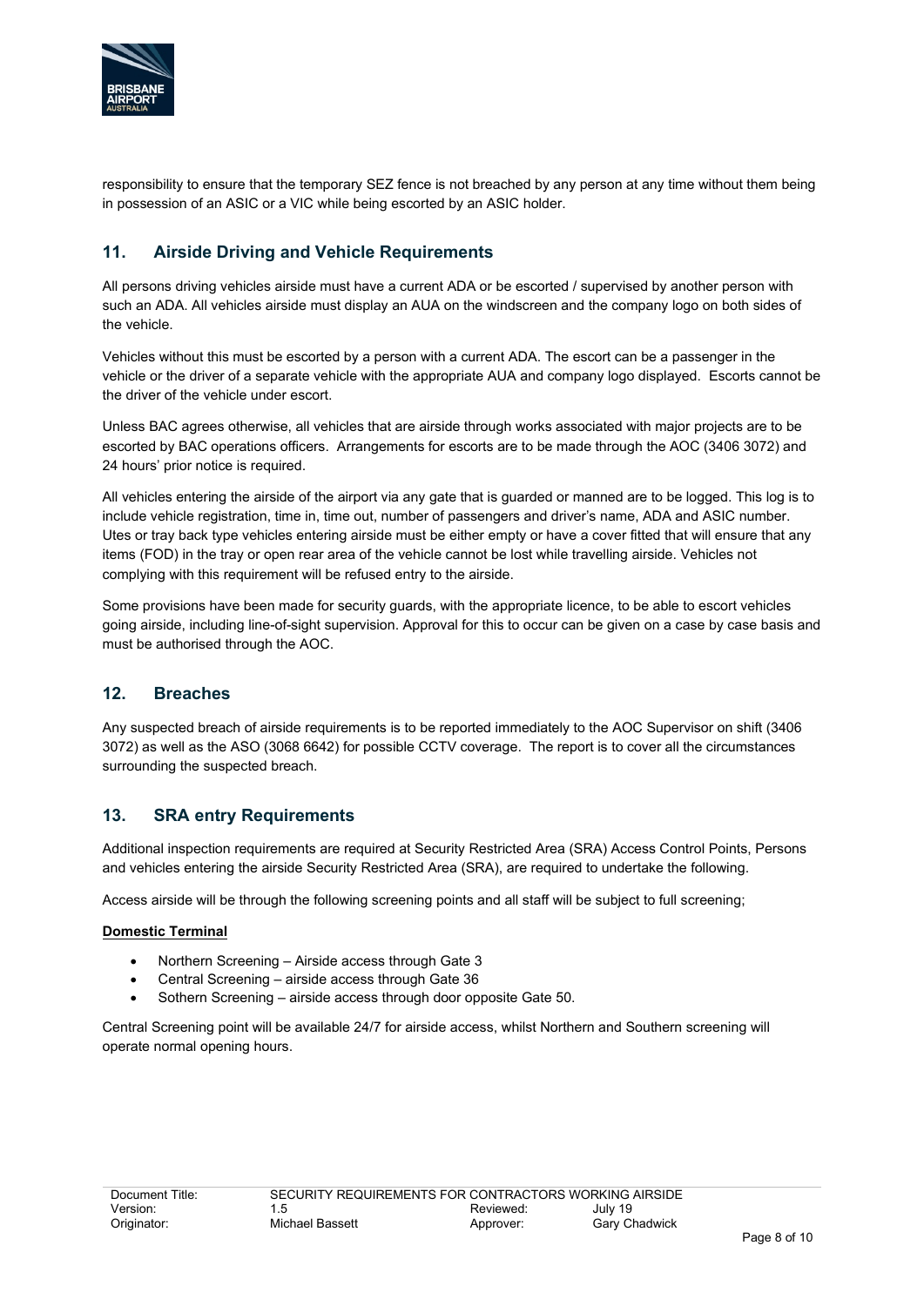

responsibility to ensure that the temporary SEZ fence is not breached by any person at any time without them being in possession of an ASIC or a VIC while being escorted by an ASIC holder.

## **11. Airside Driving and Vehicle Requirements**

All persons driving vehicles airside must have a current ADA or be escorted / supervised by another person with such an ADA. All vehicles airside must display an AUA on the windscreen and the company logo on both sides of the vehicle.

Vehicles without this must be escorted by a person with a current ADA. The escort can be a passenger in the vehicle or the driver of a separate vehicle with the appropriate AUA and company logo displayed. Escorts cannot be the driver of the vehicle under escort.

Unless BAC agrees otherwise, all vehicles that are airside through works associated with major projects are to be escorted by BAC operations officers. Arrangements for escorts are to be made through the AOC (3406 3072) and 24 hours' prior notice is required.

All vehicles entering the airside of the airport via any gate that is guarded or manned are to be logged. This log is to include vehicle registration, time in, time out, number of passengers and driver's name, ADA and ASIC number. Utes or tray back type vehicles entering airside must be either empty or have a cover fitted that will ensure that any items (FOD) in the tray or open rear area of the vehicle cannot be lost while travelling airside. Vehicles not complying with this requirement will be refused entry to the airside.

Some provisions have been made for security guards, with the appropriate licence, to be able to escort vehicles going airside, including line-of-sight supervision. Approval for this to occur can be given on a case by case basis and must be authorised through the AOC.

#### **12. Breaches**

Any suspected breach of airside requirements is to be reported immediately to the AOC Supervisor on shift (3406 3072) as well as the ASO (3068 6642) for possible CCTV coverage. The report is to cover all the circumstances surrounding the suspected breach.

#### **13. SRA entry Requirements**

Additional inspection requirements are required at Security Restricted Area (SRA) Access Control Points, Persons and vehicles entering the airside Security Restricted Area (SRA), are required to undertake the following.

Access airside will be through the following screening points and all staff will be subject to full screening;

#### **Domestic Terminal**

- Northern Screening Airside access through Gate 3
- Central Screening airside access through Gate 36
- Sothern Screening airside access through door opposite Gate 50.

Central Screening point will be available 24/7 for airside access, whilst Northern and Southern screening will operate normal opening hours.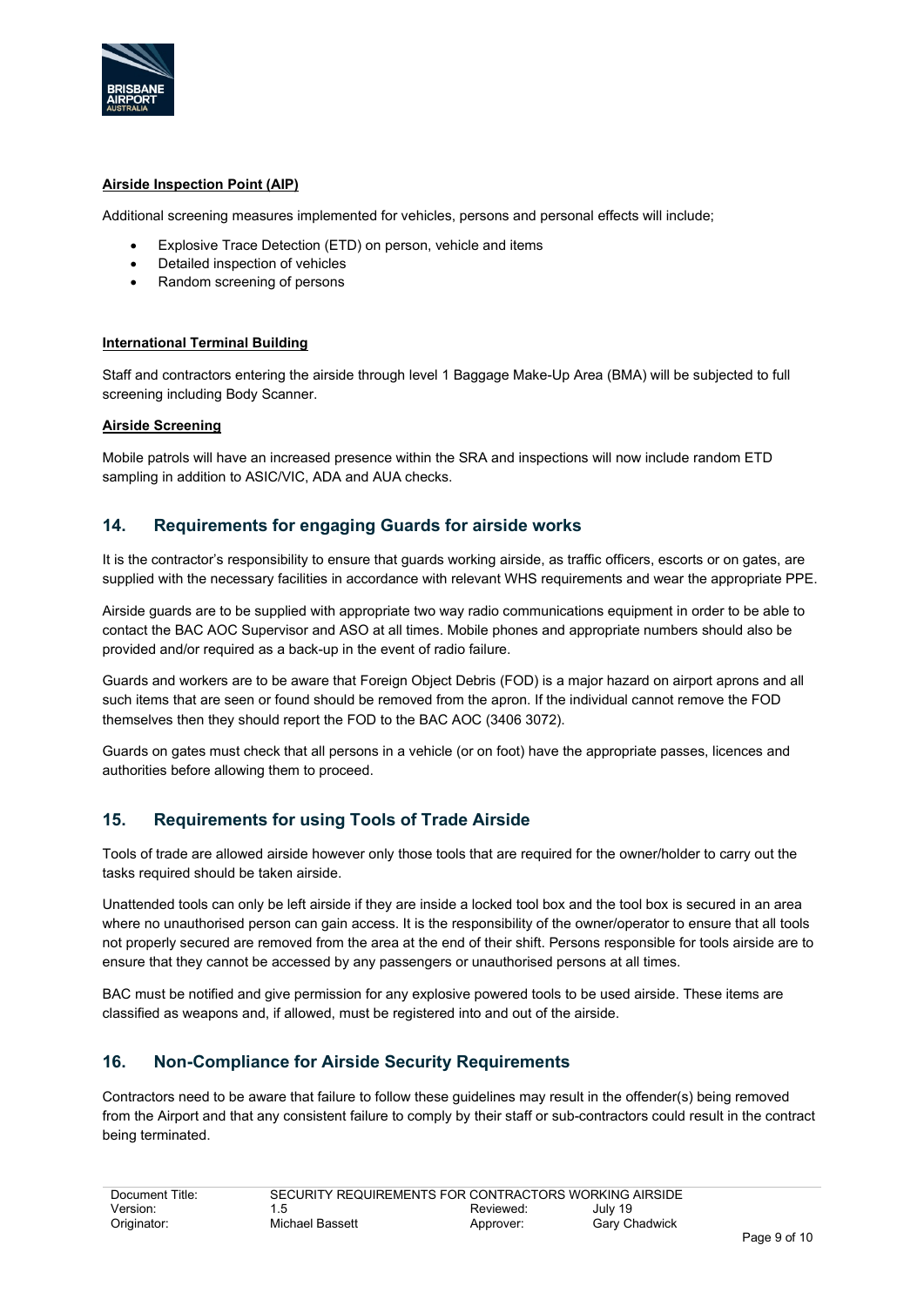

#### **Airside Inspection Point (AIP)**

Additional screening measures implemented for vehicles, persons and personal effects will include;

- Explosive Trace Detection (ETD) on person, vehicle and items
- Detailed inspection of vehicles
- Random screening of persons

#### **International Terminal Building**

Staff and contractors entering the airside through level 1 Baggage Make-Up Area (BMA) will be subjected to full screening including Body Scanner.

#### **Airside Screening**

Mobile patrols will have an increased presence within the SRA and inspections will now include random ETD sampling in addition to ASIC/VIC, ADA and AUA checks.

#### **14. Requirements for engaging Guards for airside works**

It is the contractor's responsibility to ensure that guards working airside, as traffic officers, escorts or on gates, are supplied with the necessary facilities in accordance with relevant WHS requirements and wear the appropriate PPE.

Airside guards are to be supplied with appropriate two way radio communications equipment in order to be able to contact the BAC AOC Supervisor and ASO at all times. Mobile phones and appropriate numbers should also be provided and/or required as a back-up in the event of radio failure.

Guards and workers are to be aware that Foreign Object Debris (FOD) is a major hazard on airport aprons and all such items that are seen or found should be removed from the apron. If the individual cannot remove the FOD themselves then they should report the FOD to the BAC AOC (3406 3072).

Guards on gates must check that all persons in a vehicle (or on foot) have the appropriate passes, licences and authorities before allowing them to proceed.

## **15. Requirements for using Tools of Trade Airside**

Tools of trade are allowed airside however only those tools that are required for the owner/holder to carry out the tasks required should be taken airside.

Unattended tools can only be left airside if they are inside a locked tool box and the tool box is secured in an area where no unauthorised person can gain access. It is the responsibility of the owner/operator to ensure that all tools not properly secured are removed from the area at the end of their shift. Persons responsible for tools airside are to ensure that they cannot be accessed by any passengers or unauthorised persons at all times.

BAC must be notified and give permission for any explosive powered tools to be used airside. These items are classified as weapons and, if allowed, must be registered into and out of the airside.

#### **16. Non-Compliance for Airside Security Requirements**

Contractors need to be aware that failure to follow these guidelines may result in the offender(s) being removed from the Airport and that any consistent failure to comply by their staff or sub-contractors could result in the contract being terminated.